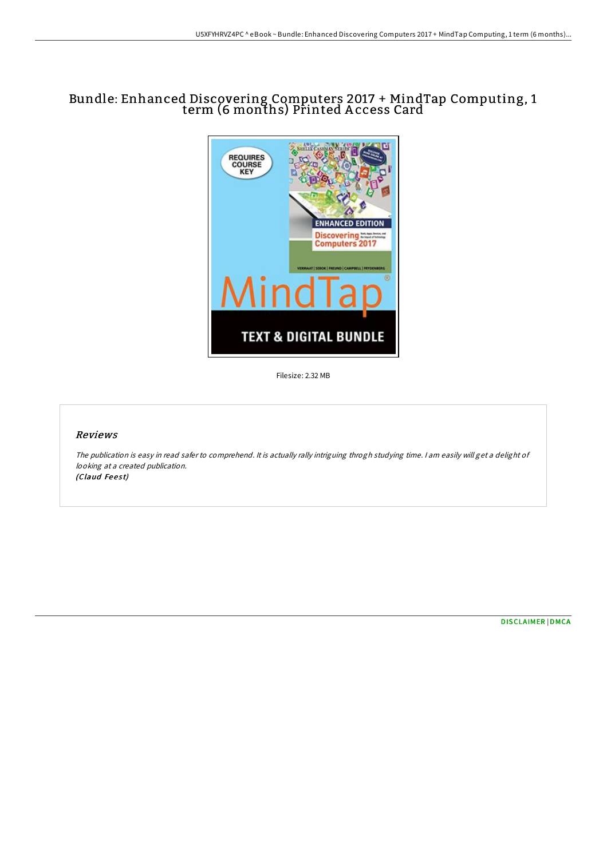## Bundle: Enhanced Discovering Computers 2017 + MindTap Computing, 1 term (6 months) Printed A ccess Card



Filesize: 2.32 MB

## Reviews

The publication is easy in read safer to comprehend. It is actually rally intriguing throgh studying time. <sup>I</sup> am easily will get <sup>a</sup> delight of looking at <sup>a</sup> created publication. (Claud Feest)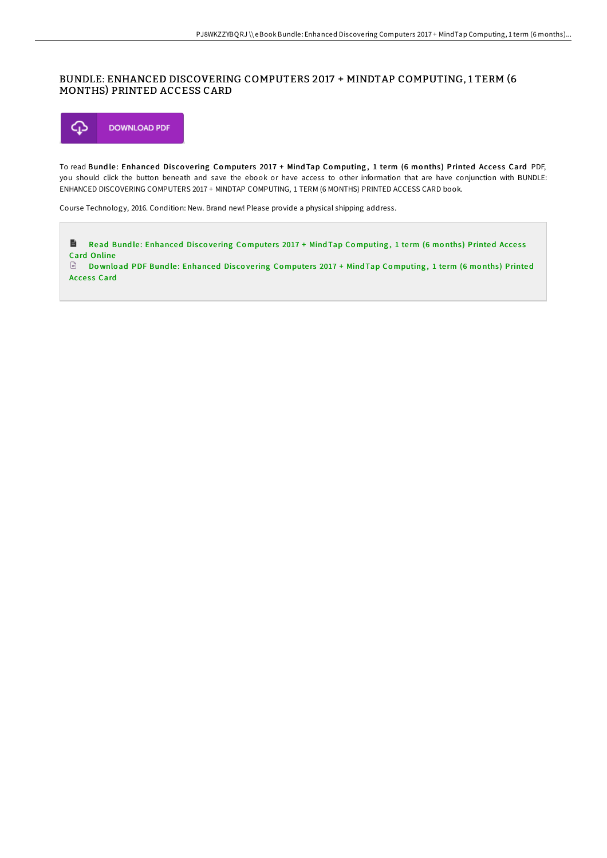## BUNDLE: ENHANCED DISCOVERING COMPUTERS 2017 + MINDTAP COMPUTING, 1 TERM (6 MONTHS) PRINTED ACCESS CARD



To read Bundle: Enhanced Discovering Computers 2017 + Mind Tap Computing, 1 term (6 months) Printed Access Card PDF, you should click the button beneath and save the ebook or have access to other information that are have conjunction with BUNDLE: ENHANCED DISCOVERING COMPUTERS 2017 + MINDTAP COMPUTING, 1 TERM (6 MONTHS) PRINTED ACCESS CARD book.

Course Technology, 2016. Condition: New. Brand new! Please provide a physical shipping address.